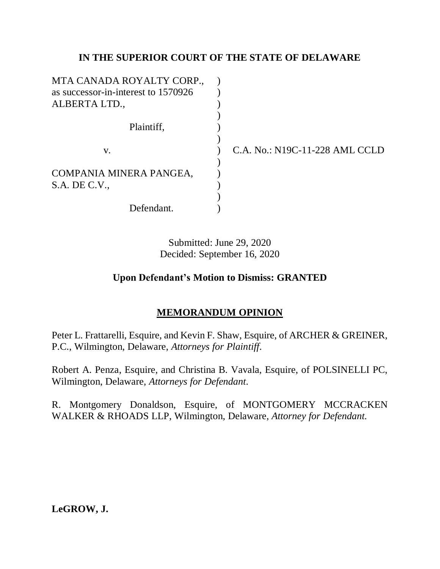# **IN THE SUPERIOR COURT OF THE STATE OF DELAWARE**

| MTA CANADA ROYALTY CORP.,           |  |
|-------------------------------------|--|
| as successor-in-interest to 1570926 |  |
| ALBERTA LTD.,                       |  |
|                                     |  |
| Plaintiff,                          |  |
|                                     |  |
| V.                                  |  |
|                                     |  |
| COMPANIA MINERA PANGEA,             |  |
| $S.A.$ DE $C.V.,$                   |  |
|                                     |  |
| Defendant.                          |  |

C.A. No.: N19C-11-228 AML CCLD

Submitted: June 29, 2020 Decided: September 16, 2020

# **Upon Defendant's Motion to Dismiss: GRANTED**

# **MEMORANDUM OPINION**

Peter L. Frattarelli, Esquire, and Kevin F. Shaw, Esquire, of ARCHER & GREINER, P.C., Wilmington, Delaware, *Attorneys for Plaintiff*.

Robert A. Penza, Esquire, and Christina B. Vavala, Esquire, of POLSINELLI PC, Wilmington, Delaware, *Attorneys for Defendant*.

R. Montgomery Donaldson, Esquire, of MONTGOMERY MCCRACKEN WALKER & RHOADS LLP, Wilmington, Delaware, *Attorney for Defendant.*

**LeGROW, J.**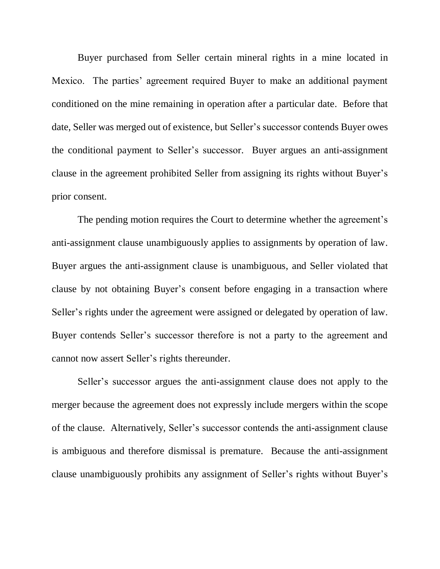Buyer purchased from Seller certain mineral rights in a mine located in Mexico. The parties' agreement required Buyer to make an additional payment conditioned on the mine remaining in operation after a particular date. Before that date, Seller was merged out of existence, but Seller's successor contends Buyer owes the conditional payment to Seller's successor. Buyer argues an anti-assignment clause in the agreement prohibited Seller from assigning its rights without Buyer's prior consent.

The pending motion requires the Court to determine whether the agreement's anti-assignment clause unambiguously applies to assignments by operation of law. Buyer argues the anti-assignment clause is unambiguous, and Seller violated that clause by not obtaining Buyer's consent before engaging in a transaction where Seller's rights under the agreement were assigned or delegated by operation of law. Buyer contends Seller's successor therefore is not a party to the agreement and cannot now assert Seller's rights thereunder.

Seller's successor argues the anti-assignment clause does not apply to the merger because the agreement does not expressly include mergers within the scope of the clause. Alternatively, Seller's successor contends the anti-assignment clause is ambiguous and therefore dismissal is premature. Because the anti-assignment clause unambiguously prohibits any assignment of Seller's rights without Buyer's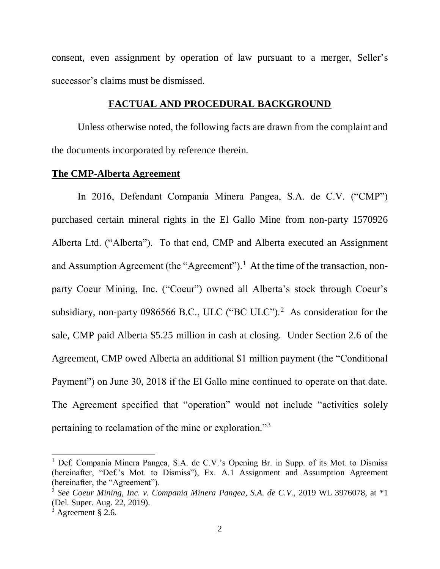consent, even assignment by operation of law pursuant to a merger, Seller's successor's claims must be dismissed.

## **FACTUAL AND PROCEDURAL BACKGROUND**

Unless otherwise noted, the following facts are drawn from the complaint and the documents incorporated by reference therein.

### **The CMP-Alberta Agreement**

In 2016, Defendant Compania Minera Pangea, S.A. de C.V. ("CMP") purchased certain mineral rights in the El Gallo Mine from non-party 1570926 Alberta Ltd. ("Alberta"). To that end, CMP and Alberta executed an Assignment and Assumption Agreement (the "Agreement").<sup>1</sup> At the time of the transaction, nonparty Coeur Mining, Inc. ("Coeur") owned all Alberta's stock through Coeur's subsidiary, non-party 0986566 B.C., ULC ("BC ULC").<sup>2</sup> As consideration for the sale, CMP paid Alberta \$5.25 million in cash at closing. Under Section 2.6 of the Agreement, CMP owed Alberta an additional \$1 million payment (the "Conditional Payment") on June 30, 2018 if the El Gallo mine continued to operate on that date. The Agreement specified that "operation" would not include "activities solely pertaining to reclamation of the mine or exploration."<sup>3</sup>

<sup>&</sup>lt;sup>1</sup> Def. Compania Minera Pangea, S.A. de C.V.'s Opening Br. in Supp. of its Mot. to Dismiss (hereinafter, "Def.'s Mot. to Dismiss"), Ex. A.1 Assignment and Assumption Agreement (hereinafter, the "Agreement").

<sup>2</sup> *See Coeur Mining, Inc. v. Compania Minera Pangea, S.A. de C.V.*, 2019 WL 3976078, at \*1 (Del. Super. Aug. 22, 2019).

 $3$  Agreement § 2.6.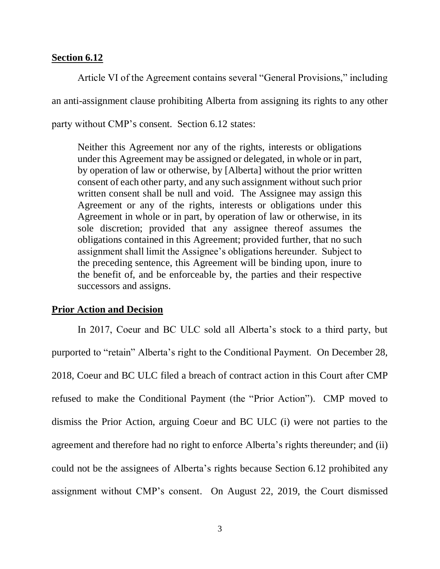## **Section 6.12**

Article VI of the Agreement contains several "General Provisions," including an anti-assignment clause prohibiting Alberta from assigning its rights to any other party without CMP's consent. Section 6.12 states:

Neither this Agreement nor any of the rights, interests or obligations under this Agreement may be assigned or delegated, in whole or in part, by operation of law or otherwise, by [Alberta] without the prior written consent of each other party, and any such assignment without such prior written consent shall be null and void. The Assignee may assign this Agreement or any of the rights, interests or obligations under this Agreement in whole or in part, by operation of law or otherwise, in its sole discretion; provided that any assignee thereof assumes the obligations contained in this Agreement; provided further, that no such assignment shall limit the Assignee's obligations hereunder. Subject to the preceding sentence, this Agreement will be binding upon, inure to the benefit of, and be enforceable by, the parties and their respective successors and assigns.

## **Prior Action and Decision**

In 2017, Coeur and BC ULC sold all Alberta's stock to a third party, but purported to "retain" Alberta's right to the Conditional Payment. On December 28, 2018, Coeur and BC ULC filed a breach of contract action in this Court after CMP refused to make the Conditional Payment (the "Prior Action"). CMP moved to dismiss the Prior Action, arguing Coeur and BC ULC (i) were not parties to the agreement and therefore had no right to enforce Alberta's rights thereunder; and (ii) could not be the assignees of Alberta's rights because Section 6.12 prohibited any assignment without CMP's consent. On August 22, 2019, the Court dismissed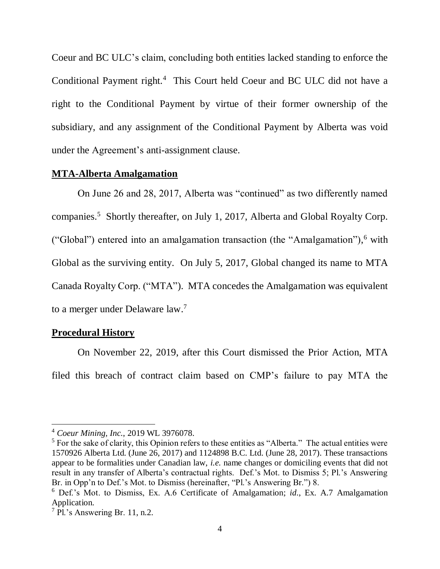Coeur and BC ULC's claim, concluding both entities lacked standing to enforce the Conditional Payment right.<sup>4</sup> This Court held Coeur and BC ULC did not have a right to the Conditional Payment by virtue of their former ownership of the subsidiary, and any assignment of the Conditional Payment by Alberta was void under the Agreement's anti-assignment clause.

### **MTA-Alberta Amalgamation**

On June 26 and 28, 2017, Alberta was "continued" as two differently named companies.<sup>5</sup> Shortly thereafter, on July 1, 2017, Alberta and Global Royalty Corp. ("Global") entered into an amalgamation transaction (the "Amalgamation"), <sup>6</sup> with Global as the surviving entity. On July 5, 2017, Global changed its name to MTA Canada Royalty Corp. ("MTA"). MTA concedes the Amalgamation was equivalent to a merger under Delaware law.<sup>7</sup>

## **Procedural History**

 $\overline{a}$ 

On November 22, 2019, after this Court dismissed the Prior Action, MTA filed this breach of contract claim based on CMP's failure to pay MTA the

<sup>4</sup> *Coeur Mining, Inc.*, 2019 WL 3976078.

 $<sup>5</sup>$  For the sake of clarity, this Opinion refers to these entities as "Alberta." The actual entities were</sup> 1570926 Alberta Ltd. (June 26, 2017) and 1124898 B.C. Ltd. (June 28, 2017). These transactions appear to be formalities under Canadian law, *i.e.* name changes or domiciling events that did not result in any transfer of Alberta's contractual rights. Def.'s Mot. to Dismiss 5; Pl.'s Answering Br. in Opp'n to Def.'s Mot. to Dismiss (hereinafter, "Pl.'s Answering Br.") 8.

<sup>6</sup> Def.'s Mot. to Dismiss, Ex. A.6 Certificate of Amalgamation; *id*., Ex. A.7 Amalgamation Application.

 $7$  Pl.'s Answering Br. 11, n.2.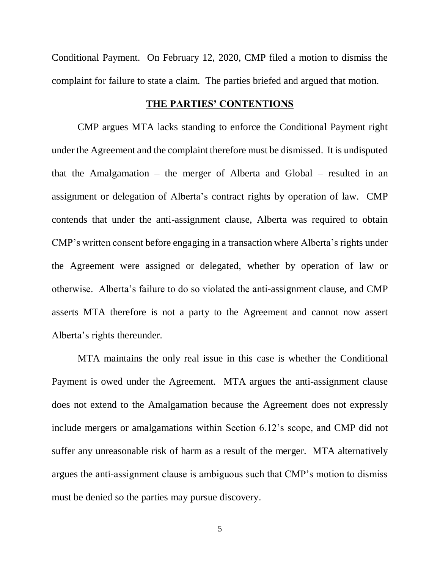Conditional Payment. On February 12, 2020, CMP filed a motion to dismiss the complaint for failure to state a claim. The parties briefed and argued that motion.

### **THE PARTIES' CONTENTIONS**

CMP argues MTA lacks standing to enforce the Conditional Payment right under the Agreement and the complaint therefore must be dismissed. It is undisputed that the Amalgamation – the merger of Alberta and Global – resulted in an assignment or delegation of Alberta's contract rights by operation of law. CMP contends that under the anti-assignment clause, Alberta was required to obtain CMP's written consent before engaging in a transaction where Alberta's rights under the Agreement were assigned or delegated, whether by operation of law or otherwise. Alberta's failure to do so violated the anti-assignment clause, and CMP asserts MTA therefore is not a party to the Agreement and cannot now assert Alberta's rights thereunder.

MTA maintains the only real issue in this case is whether the Conditional Payment is owed under the Agreement. MTA argues the anti-assignment clause does not extend to the Amalgamation because the Agreement does not expressly include mergers or amalgamations within Section 6.12's scope, and CMP did not suffer any unreasonable risk of harm as a result of the merger. MTA alternatively argues the anti-assignment clause is ambiguous such that CMP's motion to dismiss must be denied so the parties may pursue discovery.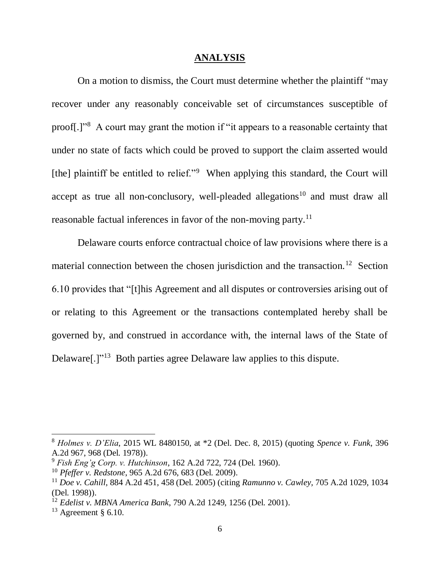#### **ANALYSIS**

On a motion to dismiss, the Court must determine whether the plaintiff "may recover under any reasonably conceivable set of circumstances susceptible of proof[.]"<sup>8</sup> A court may grant the motion if "it appears to a reasonable certainty that under no state of facts which could be proved to support the claim asserted would [the] plaintiff be entitled to relief."<sup>9</sup> When applying this standard, the Court will accept as true all non-conclusory, well-pleaded allegations<sup>10</sup> and must draw all reasonable factual inferences in favor of the non-moving party.<sup>11</sup>

Delaware courts enforce contractual choice of law provisions where there is a material connection between the chosen jurisdiction and the transaction.<sup>12</sup> Section 6.10 provides that "[t]his Agreement and all disputes or controversies arising out of or relating to this Agreement or the transactions contemplated hereby shall be governed by, and construed in accordance with, the internal laws of the State of Delaware[.]"<sup>13</sup> Both parties agree Delaware law applies to this dispute.

<sup>8</sup> *Holmes v. D'Elia*, 2015 WL 8480150, at \*2 (Del. Dec. 8, 2015) (quoting *Spence v. Funk*, 396 A.2d 967, 968 (Del. 1978)).

<sup>9</sup> *Fish Eng'g Corp. v. Hutchinson*, 162 A.2d 722, 724 (Del. 1960).

<sup>10</sup> *Pfeffer v. Redstone*, 965 A.2d 676, 683 (Del. 2009).

<sup>11</sup> *Doe v. Cahill*, 884 A.2d 451, 458 (Del. 2005) (citing *Ramunno v. Cawley,* 705 A.2d 1029, 1034 (Del. 1998)).

<sup>12</sup> *Edelist v. MBNA America Bank*, 790 A.2d 1249, 1256 (Del. 2001).

 $13$  Agreement § 6.10.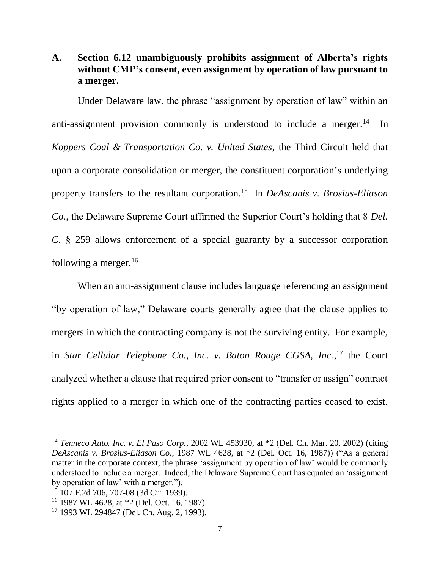# **A. Section 6.12 unambiguously prohibits assignment of Alberta's rights without CMP's consent, even assignment by operation of law pursuant to a merger.**

Under Delaware law, the phrase "assignment by operation of law" within an anti-assignment provision commonly is understood to include a merger.<sup>14</sup> In *Koppers Coal & Transportation Co. v. United States*, the Third Circuit held that upon a corporate consolidation or merger, the constituent corporation's underlying property transfers to the resultant corporation.<sup>15</sup> In *DeAscanis v. Brosius-Eliason Co.*, the Delaware Supreme Court affirmed the Superior Court's holding that 8 *Del. C.* § 259 allows enforcement of a special guaranty by a successor corporation following a merger.<sup>16</sup>

When an anti-assignment clause includes language referencing an assignment "by operation of law," Delaware courts generally agree that the clause applies to mergers in which the contracting company is not the surviving entity. For example, in *Star Cellular Telephone Co., Inc. v. Baton Rouge CGSA, Inc.*, <sup>17</sup> the Court analyzed whether a clause that required prior consent to "transfer or assign" contract rights applied to a merger in which one of the contracting parties ceased to exist.

<sup>14</sup> *Tenneco Auto. Inc. v. El Paso Corp.*, 2002 WL 453930, at \*2 (Del. Ch. Mar. 20, 2002) (citing *DeAscanis v. Brosius-Eliason Co.*, 1987 WL 4628, at \*2 (Del. Oct. 16, 1987)) ("As a general matter in the corporate context, the phrase 'assignment by operation of law' would be commonly understood to include a merger. Indeed, the Delaware Supreme Court has equated an 'assignment by operation of law' with a merger.").

<sup>15</sup> 107 F.2d 706, 707-08 (3d Cir. 1939).

<sup>16</sup> 1987 WL 4628, at \*2 (Del. Oct. 16, 1987).

<sup>17</sup> 1993 WL 294847 (Del. Ch. Aug. 2, 1993).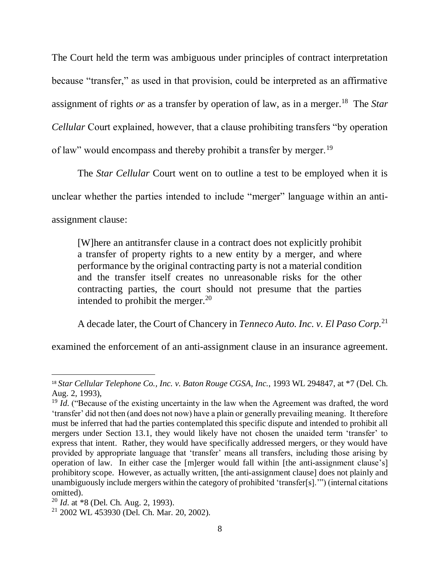The Court held the term was ambiguous under principles of contract interpretation because "transfer," as used in that provision, could be interpreted as an affirmative assignment of rights *or* as a transfer by operation of law, as in a merger.<sup>18</sup> The *Star Cellular* Court explained, however, that a clause prohibiting transfers "by operation of law" would encompass and thereby prohibit a transfer by merger.<sup>19</sup>

The *Star Cellular* Court went on to outline a test to be employed when it is unclear whether the parties intended to include "merger" language within an antiassignment clause:

[W]here an antitransfer clause in a contract does not explicitly prohibit a transfer of property rights to a new entity by a merger, and where performance by the original contracting party is not a material condition and the transfer itself creates no unreasonable risks for the other contracting parties, the court should not presume that the parties intended to prohibit the merger. $20$ 

A decade later, the Court of Chancery in *Tenneco Auto. Inc. v. El Paso Corp.*<sup>21</sup>

examined the enforcement of an anti-assignment clause in an insurance agreement.

 $\overline{\phantom{a}}$ <sup>18</sup> *Star Cellular Telephone Co., Inc. v. Baton Rouge CGSA, Inc.*, 1993 WL 294847, at \*7 (Del. Ch. Aug. 2, 1993),

<sup>&</sup>lt;sup>19</sup> *Id.* ("Because of the existing uncertainty in the law when the Agreement was drafted, the word 'transfer' did not then (and does not now) have a plain or generally prevailing meaning. It therefore must be inferred that had the parties contemplated this specific dispute and intended to prohibit all mergers under Section 13.1, they would likely have not chosen the unaided term 'transfer' to express that intent. Rather, they would have specifically addressed mergers, or they would have provided by appropriate language that 'transfer' means all transfers, including those arising by operation of law. In either case the [m]erger would fall within [the anti-assignment clause's] prohibitory scope. However, as actually written, [the anti-assignment clause] does not plainly and unambiguously include mergers within the category of prohibited 'transfer[s].'") (internal citations omitted).

<sup>20</sup> *Id*. at \*8 (Del. Ch. Aug. 2, 1993).

<sup>21</sup> 2002 WL 453930 (Del. Ch. Mar. 20, 2002).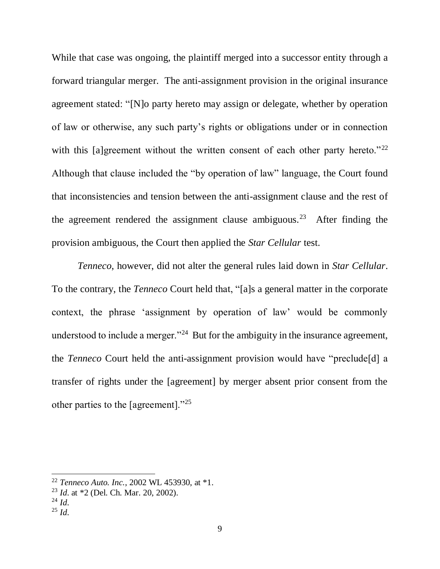While that case was ongoing, the plaintiff merged into a successor entity through a forward triangular merger. The anti-assignment provision in the original insurance agreement stated: "[N]o party hereto may assign or delegate, whether by operation of law or otherwise, any such party's rights or obligations under or in connection with this [a]greement without the written consent of each other party hereto." $22$ Although that clause included the "by operation of law" language, the Court found that inconsistencies and tension between the anti-assignment clause and the rest of the agreement rendered the assignment clause ambiguous.<sup>23</sup> After finding the provision ambiguous, the Court then applied the *Star Cellular* test.

*Tenneco*, however, did not alter the general rules laid down in *Star Cellular*. To the contrary, the *Tenneco* Court held that, "[a]s a general matter in the corporate context, the phrase 'assignment by operation of law' would be commonly understood to include a merger."<sup>24</sup> But for the ambiguity in the insurance agreement, the *Tenneco* Court held the anti-assignment provision would have "preclude[d] a transfer of rights under the [agreement] by merger absent prior consent from the other parties to the [agreement]."<sup>25</sup>

<sup>22</sup> *Tenneco Auto. Inc.*, 2002 WL 453930, at \*1.

<sup>23</sup> *Id*. at \*2 (Del. Ch. Mar. 20, 2002).

 $^{24}$  *Id.* 

 $^{25}$  *Id*.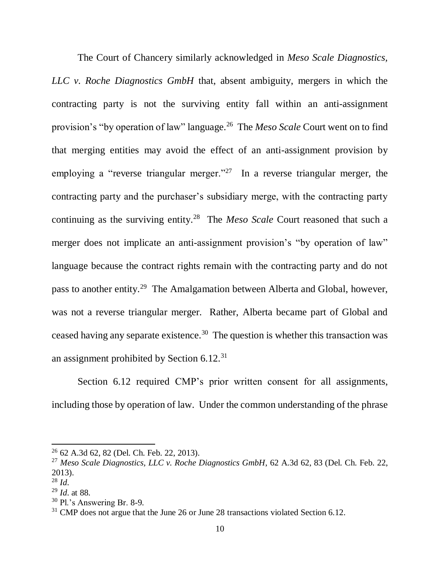The Court of Chancery similarly acknowledged in *Meso Scale Diagnostics, LLC v. Roche Diagnostics GmbH* that, absent ambiguity, mergers in which the contracting party is not the surviving entity fall within an anti-assignment provision's "by operation of law" language.<sup>26</sup> The *Meso Scale* Court went on to find that merging entities may avoid the effect of an anti-assignment provision by employing a "reverse triangular merger."<sup>27</sup> In a reverse triangular merger, the contracting party and the purchaser's subsidiary merge, with the contracting party continuing as the surviving entity.<sup>28</sup> The *Meso Scale* Court reasoned that such a merger does not implicate an anti-assignment provision's "by operation of law" language because the contract rights remain with the contracting party and do not pass to another entity.<sup>29</sup> The Amalgamation between Alberta and Global, however, was not a reverse triangular merger. Rather, Alberta became part of Global and ceased having any separate existence.<sup>30</sup> The question is whether this transaction was an assignment prohibited by Section 6.12.<sup>31</sup>

Section 6.12 required CMP's prior written consent for all assignments, including those by operation of law. Under the common understanding of the phrase

<sup>26</sup> 62 A.3d 62, 82 (Del. Ch. Feb. 22, 2013).

<sup>27</sup> *Meso Scale Diagnostics, LLC v. Roche Diagnostics GmbH*, 62 A.3d 62, 83 (Del. Ch. Feb. 22, 2013).

<sup>28</sup> *Id*.

<sup>29</sup> *Id*. at 88.

<sup>30</sup> Pl.'s Answering Br. 8-9.

 $31$  CMP does not argue that the June 26 or June 28 transactions violated Section 6.12.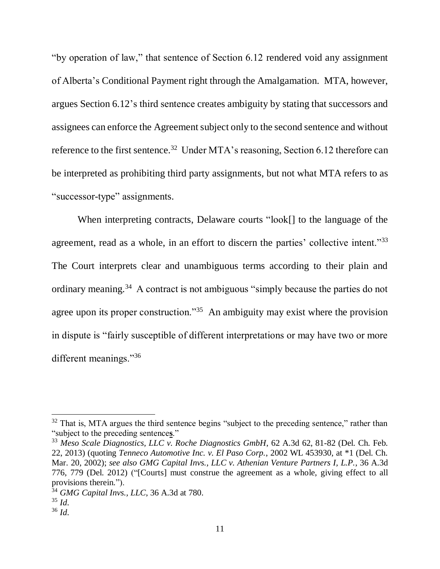"by operation of law," that sentence of Section 6.12 rendered void any assignment of Alberta's Conditional Payment right through the Amalgamation. MTA, however, argues Section 6.12's third sentence creates ambiguity by stating that successors and assignees can enforce the Agreement subject only to the second sentence and without reference to the first sentence.<sup>32</sup> Under MTA's reasoning, Section 6.12 therefore can be interpreted as prohibiting third party assignments, but not what MTA refers to as "successor-type" assignments.

When interpreting contracts, Delaware courts "look[] to the language of the agreement, read as a whole, in an effort to discern the parties' collective intent."<sup>33</sup> The Court interprets clear and unambiguous terms according to their plain and ordinary meaning.<sup>34</sup> A contract is not ambiguous "simply because the parties do not agree upon its proper construction."<sup>35</sup> An ambiguity may exist where the provision in dispute is "fairly susceptible of different interpretations or may have two or more different meanings."<sup>36</sup>

 $32$  That is, MTA argues the third sentence begins "subject to the preceding sentence," rather than "subject to the preceding sentence**s**."

<sup>33</sup> *Meso Scale Diagnostics, LLC v. Roche Diagnostics GmbH*, 62 A.3d 62, 81-82 (Del. Ch. Feb. 22, 2013) (quoting *Tenneco Automotive Inc. v. El Paso Corp.*, 2002 WL 453930, at \*1 (Del. Ch. Mar. 20, 2002); *see also GMG Capital Invs., LLC v. Athenian Venture Partners I, L.P.*, 36 A.3d 776, 779 (Del. 2012) ("[Courts] must construe the agreement as a whole, giving effect to all provisions therein.").

<sup>34</sup> *GMG Capital Invs., LLC*, 36 A.3d at 780.

<sup>35</sup> *Id*.

<sup>36</sup> *Id*.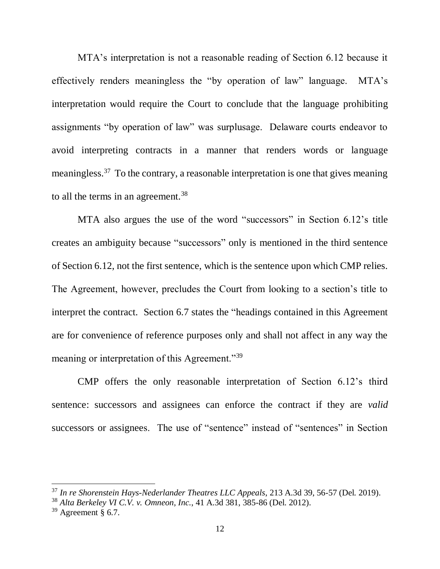MTA's interpretation is not a reasonable reading of Section 6.12 because it effectively renders meaningless the "by operation of law" language. MTA's interpretation would require the Court to conclude that the language prohibiting assignments "by operation of law" was surplusage. Delaware courts endeavor to avoid interpreting contracts in a manner that renders words or language meaningless.<sup>37</sup> To the contrary, a reasonable interpretation is one that gives meaning to all the terms in an agreement.<sup>38</sup>

MTA also argues the use of the word "successors" in Section 6.12's title creates an ambiguity because "successors" only is mentioned in the third sentence of Section 6.12, not the first sentence, which is the sentence upon which CMP relies. The Agreement, however, precludes the Court from looking to a section's title to interpret the contract. Section 6.7 states the "headings contained in this Agreement are for convenience of reference purposes only and shall not affect in any way the meaning or interpretation of this Agreement."<sup>39</sup>

CMP offers the only reasonable interpretation of Section 6.12's third sentence: successors and assignees can enforce the contract if they are *valid* successors or assignees. The use of "sentence" instead of "sentences" in Section

<sup>37</sup> *In re Shorenstein Hays-Nederlander Theatres LLC Appeals*, 213 A.3d 39, 56-57 (Del. 2019).

<sup>38</sup> *Alta Berkeley VI C.V. v. Omneon, Inc.*, 41 A.3d 381, 385-86 (Del. 2012).

 $39$  Agreement § 6.7.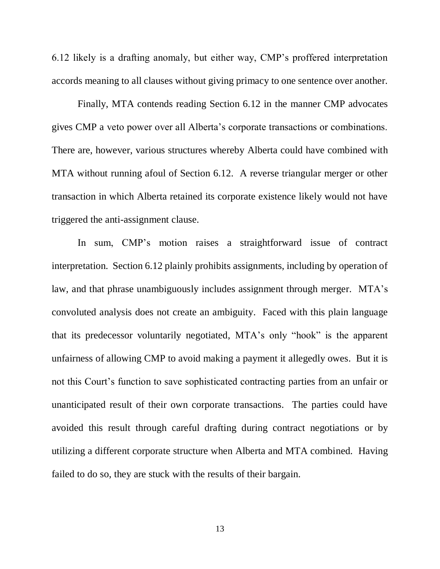6.12 likely is a drafting anomaly, but either way, CMP's proffered interpretation accords meaning to all clauses without giving primacy to one sentence over another.

Finally, MTA contends reading Section 6.12 in the manner CMP advocates gives CMP a veto power over all Alberta's corporate transactions or combinations. There are, however, various structures whereby Alberta could have combined with MTA without running afoul of Section 6.12. A reverse triangular merger or other transaction in which Alberta retained its corporate existence likely would not have triggered the anti-assignment clause.

In sum, CMP's motion raises a straightforward issue of contract interpretation. Section 6.12 plainly prohibits assignments, including by operation of law, and that phrase unambiguously includes assignment through merger. MTA's convoluted analysis does not create an ambiguity. Faced with this plain language that its predecessor voluntarily negotiated, MTA's only "hook" is the apparent unfairness of allowing CMP to avoid making a payment it allegedly owes. But it is not this Court's function to save sophisticated contracting parties from an unfair or unanticipated result of their own corporate transactions. The parties could have avoided this result through careful drafting during contract negotiations or by utilizing a different corporate structure when Alberta and MTA combined. Having failed to do so, they are stuck with the results of their bargain.

13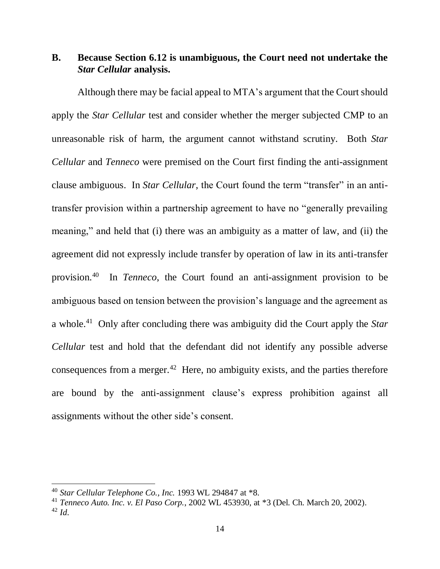# **B. Because Section 6.12 is unambiguous, the Court need not undertake the**  *Star Cellular* **analysis.**

Although there may be facial appeal to MTA's argument that the Court should apply the *Star Cellular* test and consider whether the merger subjected CMP to an unreasonable risk of harm, the argument cannot withstand scrutiny. Both *Star Cellular* and *Tenneco* were premised on the Court first finding the anti-assignment clause ambiguous. In *Star Cellular*, the Court found the term "transfer" in an antitransfer provision within a partnership agreement to have no "generally prevailing meaning," and held that (i) there was an ambiguity as a matter of law, and (ii) the agreement did not expressly include transfer by operation of law in its anti-transfer provision.<sup>40</sup> In *Tenneco*, the Court found an anti-assignment provision to be ambiguous based on tension between the provision's language and the agreement as a whole.<sup>41</sup> Only after concluding there was ambiguity did the Court apply the *Star Cellular* test and hold that the defendant did not identify any possible adverse consequences from a merger.<sup>42</sup> Here, no ambiguity exists, and the parties therefore are bound by the anti-assignment clause's express prohibition against all assignments without the other side's consent.

<sup>40</sup> *Star Cellular Telephone Co., Inc.* 1993 WL 294847 at \*8.

<sup>41</sup> *Tenneco Auto. Inc. v. El Paso Corp.*, 2002 WL 453930, at \*3 (Del. Ch. March 20, 2002). <sup>42</sup> *Id*.